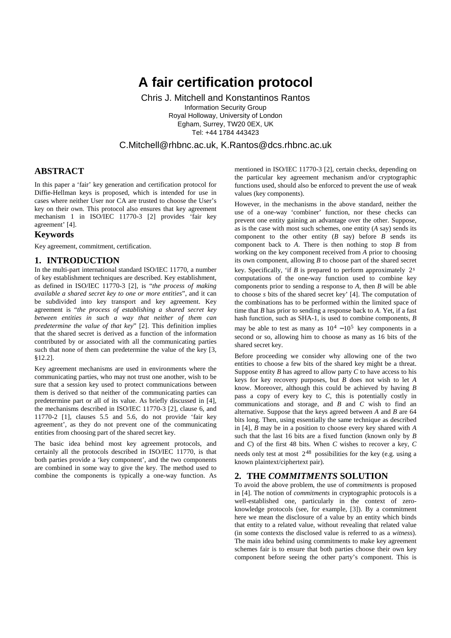# **A fair certification protocol**

Chris J. Mitchell and Konstantinos Rantos Information Security Group Royal Holloway, University of London Egham, Surrey, TW20 0EX, UK Tel: +44 1784 443423

C.Mitchell@rhbnc.ac.uk, K.Rantos@dcs.rhbnc.ac.uk

# **ABSTRACT**

In this paper a 'fair' key generation and certification protocol for Diffie-Hellman keys is proposed, which is intended for use in cases where neither User nor CA are trusted to choose the User's key on their own. This protocol also ensures that key agreement mechanism 1 in ISO/IEC 11770-3 [2] provides 'fair key agreement' [4].

### **Keywords**

Key agreement, commitment, certification.

### **1. INTRODUCTION**

In the multi-part international standard ISO/IEC 11770, a number of key establishment techniques are described. Key establishment, as defined in ISO/IEC 11770-3 [2], is "*the process of making available a shared secret key to one or more entities*", and it can be subdivided into key transport and key agreement. Key agreement is "*the process of establishing a shared secret key between entities in such a way that neither of them can predetermine the value of that key*" [2]. This definition implies that the shared secret is derived as a function of the information contributed by or associated with all the communicating parties such that none of them can predetermine the value of the key [3, §12.2].

Key agreement mechanisms are used in environments where the communicating parties, who may not trust one another, wish to be sure that a session key used to protect communications between them is derived so that neither of the communicating parties can predetermine part or all of its value. As briefly discussed in [4], the mechanisms described in ISO/IEC 11770-3 [2], clause 6, and 11770-2 [1], clauses 5.5 and 5.6, do not provide 'fair key agreement', as they do not prevent one of the communicating entities from choosing part of the shared secret key.

The basic idea behind most key agreement protocols, and certainly all the protocols described in ISO/IEC 11770, is that both parties provide a 'key component', and the two components are combined in some way to give the key. The method used to combine the components is typically a one-way function. As mentioned in ISO/IEC 11770-3 [2], certain checks, depending on the particular key agreement mechanism and/or cryptographic functions used, should also be enforced to prevent the use of weak values (key components).

However, in the mechanisms in the above standard, neither the use of a one-way 'combiner' function, nor these checks can prevent one entity gaining an advantage over the other. Suppose, as is the case with most such schemes, one entity (*A* say) sends its component to the other entity  $(B \text{ say})$  before  $B$  sends its component back to *A*. There is then nothing to stop *B* from working on the key component received from *A* prior to choosing its own component, allowing *B* to choose part of the shared secret

key. Specifically, 'if *B* is prepared to perform approximately  $2<sup>s</sup>$ computations of the one-way function used to combine key components prior to sending a response to *A*, then *B* will be able to choose *s* bits of the shared secret key' [4]. The computation of the combinations has to be performed within the limited space of time that *B* has prior to sending a response back to *A*. Yet, if a fast hash function, such as SHA-1, is used to combine components, *B* may be able to test as many as  $10^4 - 10^5$  key components in a second or so, allowing him to choose as many as 16 bits of the shared secret key.

Before proceeding we consider why allowing one of the two entities to choose a few bits of the shared key might be a threat. Suppose entity *B* has agreed to allow party *C* to have access to his keys for key recovery purposes, but *B* does not wish to let *A* know. Moreover, although this could be achieved by having *B* pass a copy of every key to *C*, this is potentially costly in communications and storage, and *B* and *C* wish to find an alternative. Suppose that the keys agreed between *A* and *B* are 64 bits long. Then, using essentially the same technique as described in [4], *B* may be in a position to choose every key shared with *A* such that the last 16 bits are a fixed function (known only by *B* and *C*) of the first 48 bits. When *C* wishes to recover a key, *C* needs only test at most  $2^{48}$  possibilities for the key (e.g. using a known plaintext/ciphertext pair).

# **2. THE** *COMMITMENTS* **SOLUTION**

To avoid the above problem, the use of *commitments* is proposed in [4]. The notion of *commitments* in cryptographic protocols is a well-established one, particularly in the context of zeroknowledge protocols (see, for example, [3]). By a commitment here we mean the disclosure of a value by an entity which binds that entity to a related value, without revealing that related value (in some contexts the disclosed value is referred to as a *witness*). The main idea behind using commitments to make key agreement schemes fair is to ensure that both parties choose their own key component before seeing the other party's component. This is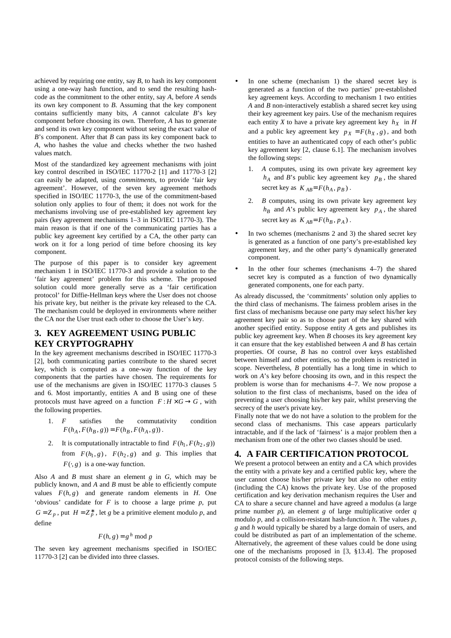achieved by requiring one entity, say  $B$ , to hash its key component using a one-way hash function, and to send the resulting hashcode as the commitment to the other entity, say *A*, before *A* sends its own key component to *B*. Assuming that the key component contains sufficiently many bits, *A* cannot calculate *B*'s key component before choosing its own. Therefore, *A* has to generate and send its own key component without seeing the exact value of *B*'s component. After that *B* can pass its key component back to *A*, who hashes the value and checks whether the two hashed values match.

Most of the standardized key agreement mechanisms with joint key control described in ISO/IEC 11770-2 [1] and 11770-3 [2] can easily be adapted, using *commitments*, to provide 'fair key agreement'. However, of the seven key agreement methods specified in ISO/IEC 11770-3, the use of the commitment-based solution only applies to four of them; it does not work for the mechanisms involving use of pre-established key agreement key pairs (key agreement mechanisms 1–3 in ISO/IEC 11770-3). The main reason is that if one of the communicating parties has a public key agreement key certified by a CA, the other party can work on it for a long period of time before choosing its key component.

The purpose of this paper is to consider key agreement mechanism 1 in ISO/IEC 11770-3 and provide a solution to the 'fair key agreement' problem for this scheme. The proposed solution could more generally serve as a 'fair certification protocol' for Diffie-Hellman keys where the User does not choose his private key, but neither is the private key released to the CA. The mechanism could be deployed in environments where neither the CA nor the User trust each other to choose the User's key.

# **3. KEY AGREEMENT USING PUBLIC KEY CRYPTOGRAPHY**

In the key agreement mechanisms described in ISO/IEC 11770-3 [2], both communicating parties contribute to the shared secret key, which is computed as a one-way function of the key components that the parties have chosen. The requirements for use of the mechanisms are given in ISO/IEC 11770-3 clauses 5 and 6. Most importantly, entities A and B using one of these protocols must have agreed on a function  $F: H \times G \to G$ , with the following properties.

- 1. *F* satisfies the commutativity condition  $F(h_A, F(h_B, g)) = F(h_B, F(h_A, g))$ .
- 2. It is computationally intractable to find  $F(h_1, F(h_2, g))$ from  $F(h_1, g)$ ,  $F(h_2, g)$  and *g*. This implies that  $F(\cdot, g)$  is a one-way function.

Also *A* and *B* must share an element *g* in *G*, which may be publicly known, and *A* and *B* must be able to efficiently compute values  $F(h, g)$  and generate random elements in *H*. One 'obvious' candidate for  $F$  is to choose a large prime  $p$ , put  $G = Z_p$ , put  $H = Z_p^*$ , let *g* be a primitive element modulo *p*, and define

$$
F(h, g) = g^h \bmod p
$$

The seven key agreement mechanisms specified in ISO/IEC 11770-3 [2] can be divided into three classes.

- In one scheme (mechanism 1) the shared secret key is generated as a function of the two parties' pre-established key agreement keys. According to mechanism 1 two entities *A* and *B* non-interactively establish a shared secret key using their key agreement key pairs. Use of the mechanism requires each entity *X* to have a private key agreement key  $h_X$  in *H* and a public key agreement key  $p_X = F(h_X, g)$ , and both entities to have an authenticated copy of each other's public key agreement key [2, clause 6.1]. The mechanism involves the following steps:
	- 1. *A* computes, using its own private key agreement key  $h_A$  and *B*'s public key agreement key  $p_B$ , the shared secret key as  $K_{AB} = F(h_A, p_B)$ .
	- 2. *B* computes, using its own private key agreement key  $h_B$  and *A*'s public key agreement key  $p_A$ , the shared secret key as  $K_{AB} = F(h_B, p_A)$ .
- In two schemes (mechanisms 2 and 3) the shared secret key is generated as a function of one party's pre-established key agreement key, and the other party's dynamically generated component.
- In the other four schemes (mechanisms  $4-7$ ) the shared secret key is computed as a function of two dynamically generated components, one for each party.

As already discussed, the 'commitments' solution only applies to the third class of mechanisms. The fairness problem arises in the first class of mechanisms because one party may select his/her key agreement key pair so as to choose part of the key shared with another specified entity. Suppose entity *A* gets and publishes its public key agreement key. When *B* chooses its key agreement key it can ensure that the key established between *A* and *B* has certain properties. Of course, *B* has no control over keys established between himself and other entities, so the problem is restricted in scope. Nevertheless, *B* potentially has a long time in which to work on *A*'s key before choosing its own, and in this respect the problem is worse than for mechanisms 4–7. We now propose a solution to the first class of mechanisms, based on the idea of preventing a user choosing his/her key pair, whilst preserving the secrecy of the user's private key.

Finally note that we do not have a solution to the problem for the second class of mechanisms. This case appears particularly intractable, and if the lack of 'fairness' is a major problem then a mechanism from one of the other two classes should be used.

## **4. A FAIR CERTIFICATION PROTOCOL**

We present a protocol between an entity and a CA which provides the entity with a private key and a certified public key, where the user cannot choose his/her private key but also no other entity (including the CA) knows the private key. Use of the proposed certification and key derivation mechanism requires the User and CA to share a secure channel and have agreed a modulus (a large prime number *p*), an element *g* of large multiplicative order *q* modulo *p*, and a collision-resistant hash-function *h*. The values *p*, *g* and *h* would typically be shared by a large domain of users, and could be distributed as part of an implementation of the scheme. Alternatively, the agreement of these values could be done using one of the mechanisms proposed in [3, §13.4]. The proposed protocol consists of the following steps.